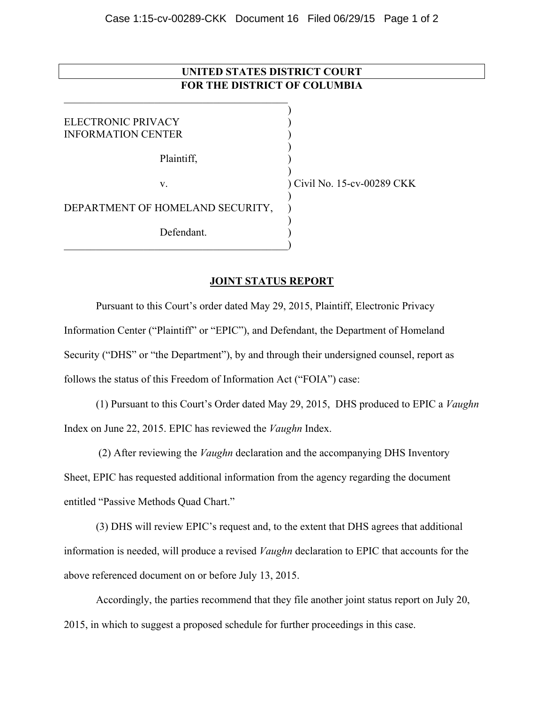## **UNITED STATES DISTRICT COURT FOR THE DISTRICT OF COLUMBIA**

) ELECTRONIC PRIVACY (1999) INFORMATION CENTER ) ) Plaintiff, ) ) v. ) Civil No. 15-cv-00289 CKK ) DEPARTMENT OF HOMELAND SECURITY, ) Defendant.  $\qquad \qquad \qquad \qquad \qquad \qquad \qquad$ 

 $\mathcal{L}_\text{max}$ 

## **JOINT STATUS REPORT**

Pursuant to this Court's order dated May 29, 2015, Plaintiff, Electronic Privacy Information Center ("Plaintiff" or "EPIC"), and Defendant, the Department of Homeland Security ("DHS" or "the Department"), by and through their undersigned counsel, report as follows the status of this Freedom of Information Act ("FOIA") case:

(1) Pursuant to this Court's Order dated May 29, 2015, DHS produced to EPIC a *Vaughn* Index on June 22, 2015. EPIC has reviewed the *Vaughn* Index.

 (2) After reviewing the *Vaughn* declaration and the accompanying DHS Inventory Sheet, EPIC has requested additional information from the agency regarding the document entitled "Passive Methods Quad Chart."

(3) DHS will review EPIC's request and, to the extent that DHS agrees that additional information is needed, will produce a revised *Vaughn* declaration to EPIC that accounts for the above referenced document on or before July 13, 2015.

Accordingly, the parties recommend that they file another joint status report on July 20, 2015, in which to suggest a proposed schedule for further proceedings in this case.